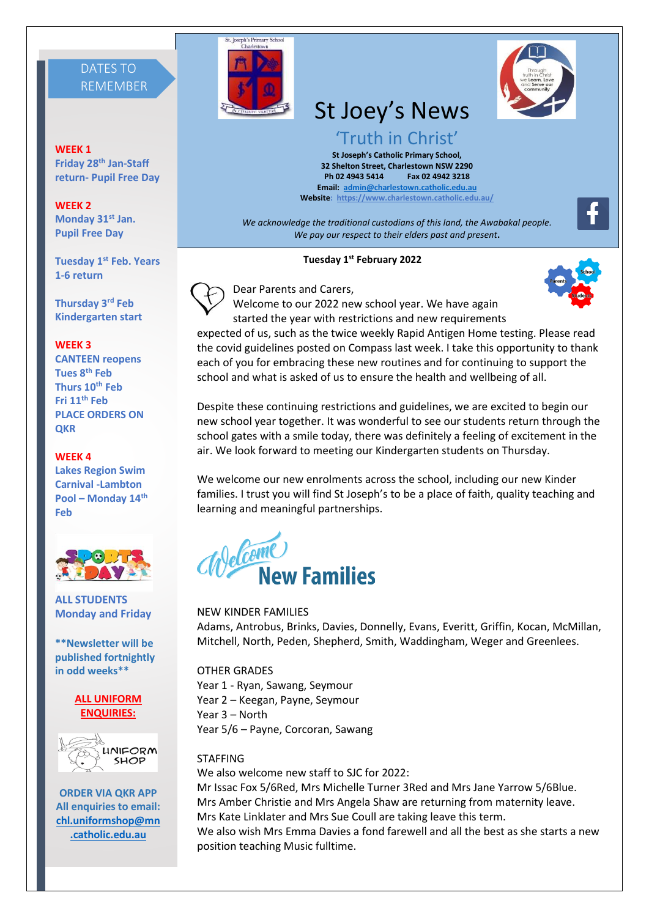# DATES TO REMEMBER

**WEEK 1 Friday 28th Jan-Staff return- Pupil Free Day**

**WEEK 2 Monday 31st Jan. Pupil Free Day**

**Tuesday 1 st Feb. Years 1-6 return**

**Thursday 3rd Feb Kindergarten start**

#### **WEEK 3**

**CANTEEN reopens Tues 8th Feb Thurs 10th Feb Fri 11th Feb PLACE ORDERS ON QKR**

#### **WEEK 4**

**Lakes Region Swim Carnival -Lambton Pool – Monday 14th Feb**



**ALL STUDENTS Monday and Friday**

**\*\*Newsletter will be published fortnightly in odd weeks\*\***

#### **ALL UNIFORM ENQUIRIES:**



**ORDER VIA QKR APP All enquiries to email: [chl.uniformshop@mn](mailto:chl.uniformshop@mn.catholic.edu.au) [.catholic.edu.au](mailto:chl.uniformshop@mn.catholic.edu.au)**



# St Joey's News

'Truth in Christ' **St Joseph's Catholic Primary School, 32 Shelton Street, Charlestown NSW 2290 Ph 02 4943 5414 Fax 02 4942 3218 Email: [admin@charlestown.catholic.edu.au](mailto:admin@charlestown.catholic.edu.au) Website:<https://www.charlestown.catholic.edu.au/>**

*We acknowledge the traditional custodians of this land, the Awabakal people. We pay our respect to their elders past and present***.**

#### **Tuesday 1st February 2022**



Dear Parents and Carers,



Welcome to our 2022 new school year. We have again started the year with restrictions and new requirements

expected of us, such as the twice weekly Rapid Antigen Home testing. Please read the covid guidelines posted on Compass last week. I take this opportunity to thank each of you for embracing these new routines and for continuing to support the school and what is asked of us to ensure the health and wellbeing of all.

Despite these continuing restrictions and guidelines, we are excited to begin our new school year together. It was wonderful to see our students return through the school gates with a smile today, there was definitely a feeling of excitement in the air. We look forward to meeting our Kindergarten students on Thursday.

We welcome our new enrolments across the school, including our new Kinder families. I trust you will find St Joseph's to be a place of faith, quality teaching and learning and meaningful partnerships.



NEW KINDER FAMILIES Adams, Antrobus, Brinks, Davies, Donnelly, Evans, Everitt, Griffin, Kocan, McMillan, Mitchell, North, Peden, Shepherd, Smith, Waddingham, Weger and Greenlees.

OTHER GRADES Year 1 - Ryan, Sawang, Seymour Year 2 – Keegan, Payne, Seymour Year 3 – North Year 5/6 – Payne, Corcoran, Sawang

**STAFFING** We also welcome new staff to SJC for 2022: Mr Issac Fox 5/6Red, Mrs Michelle Turner 3Red and Mrs Jane Yarrow 5/6Blue. Mrs Amber Christie and Mrs Angela Shaw are returning from maternity leave. Mrs Kate Linklater and Mrs Sue Coull are taking leave this term. We also wish Mrs Emma Davies a fond farewell and all the best as she starts a new position teaching Music fulltime.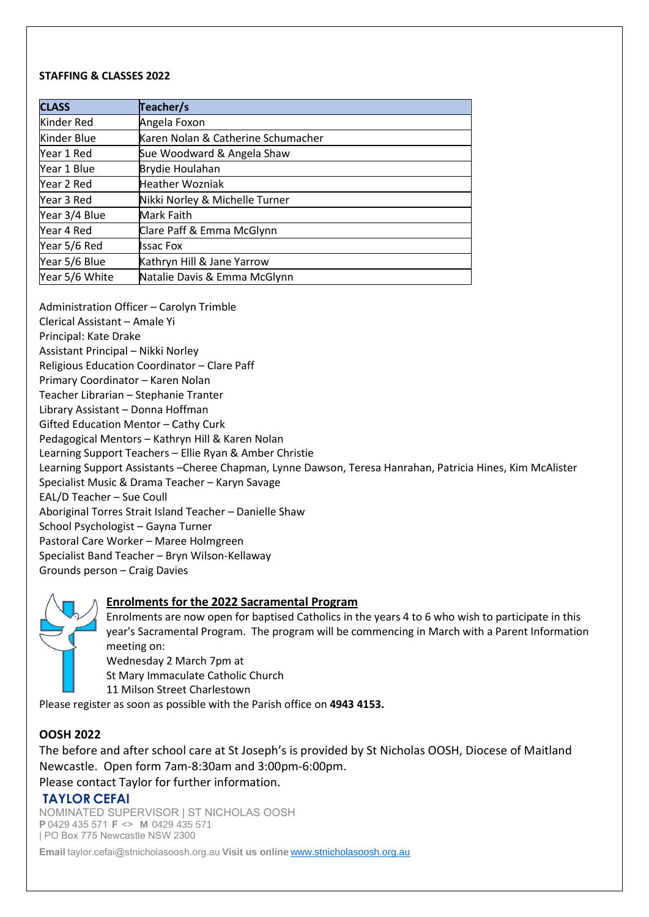#### **STAFFING & CLASSES 2022**

| <b>CLASS</b>   | Teacher/s                          |
|----------------|------------------------------------|
| Kinder Red     | Angela Foxon                       |
| Kinder Blue    | Karen Nolan & Catherine Schumacher |
| Year 1 Red     | Sue Woodward & Angela Shaw         |
| Year 1 Blue    | Brydie Houlahan                    |
| Year 2 Red     | <b>Heather Wozniak</b>             |
| Year 3 Red     | Nikki Norley & Michelle Turner     |
| Year 3/4 Blue  | Mark Faith                         |
| Year 4 Red     | Clare Paff & Emma McGlynn          |
| Year 5/6 Red   | <b>Issac Fox</b>                   |
| Year 5/6 Blue  | Kathryn Hill & Jane Yarrow         |
| Year 5/6 White | Natalie Davis & Emma McGlynn       |

Administration Officer – Carolyn Trimble Clerical Assistant – Amale Yi Principal: Kate Drake Assistant Principal – Nikki Norley Religious Education Coordinator – Clare Paff Primary Coordinator – Karen Nolan Teacher Librarian – Stephanie Tranter Library Assistant – Donna Hoffman Gifted Education Mentor – Cathy Curk Pedagogical Mentors – Kathryn Hill & Karen Nolan Learning Support Teachers – Ellie Ryan & Amber Christie Learning Support Assistants –Cheree Chapman, Lynne Dawson, Teresa Hanrahan, Patricia Hines, Kim McAlister Specialist Music & Drama Teacher – Karyn Savage EAL/D Teacher – Sue Coull Aboriginal Torres Strait Island Teacher – Danielle Shaw School Psychologist – Gayna Turner Pastoral Care Worker – Maree Holmgreen Specialist Band Teacher – Bryn Wilson-Kellaway Grounds person – Craig Davies

## **Enrolments for the 2022 Sacramental Program**

Enrolments are now open for baptised Catholics in the years 4 to 6 who wish to participate in this year's Sacramental Program. The program will be commencing in March with a Parent Information meeting on:

Wednesday 2 March 7pm at

St Mary Immaculate Catholic Church

11 Milson Street Charlestown

Please register as soon as possible with the Parish office on **4943 4153.**

# **OOSH 2022**

The before and after school care at St Joseph's is provided by St Nicholas OOSH, Diocese of Maitland Newcastle.  Open form 7am-8:30am and 3:00pm-6:00pm.

# Please contact Taylor for further information.

# **TAYLOR CEFAI**

NOMINATED SUPERVISOR | ST NICHOLAS OOSH   **P**0429 435 571  **F** <>   **M**  0429 435 571 | PO Box 775 Newcastle NSW 2300 

**Email**taylor.cefai@stnicholasoosh.org.au **Visit us online** [www.stnicholasoosh.org.au](http://www.stnicholasoosh.org.au/)